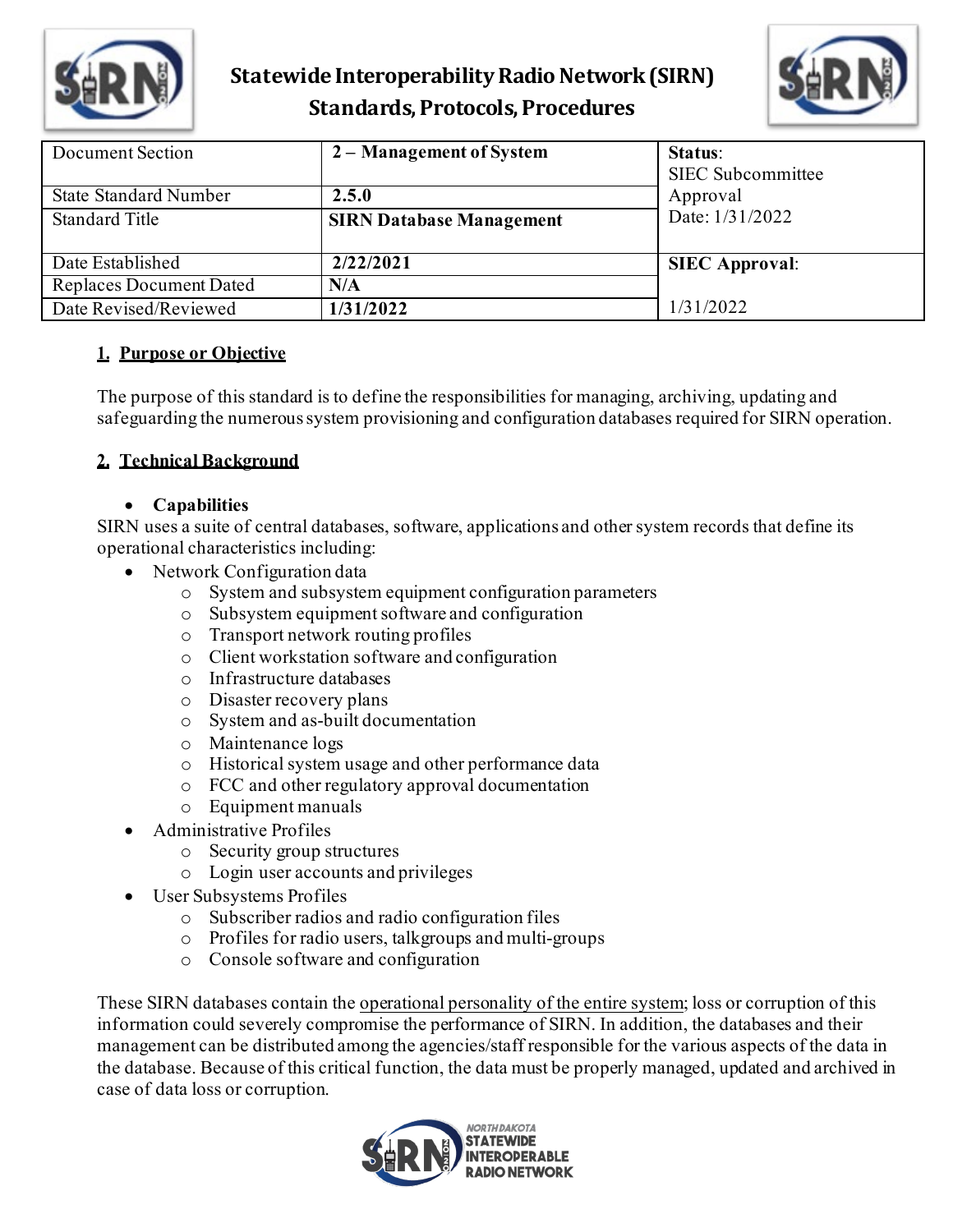



| Document Section               | 2 – Management of System        | <b>Status:</b><br><b>SIEC</b> Subcommittee |
|--------------------------------|---------------------------------|--------------------------------------------|
| <b>State Standard Number</b>   | 2.5.0                           | Approval                                   |
| <b>Standard Title</b>          | <b>SIRN Database Management</b> | Date: 1/31/2022                            |
| Date Established               | 2/22/2021                       | <b>SIEC Approval:</b>                      |
| <b>Replaces Document Dated</b> | N/A                             |                                            |
| Date Revised/Reviewed          | 1/31/2022                       | 1/31/2022                                  |

#### **1. Purpose or Objective**

The purpose of this standard is to define the responsibilities for managing, archiving, updating and safeguarding the numerous system provisioning and configuration databases required for SIRN operation.

#### **2. Technical Background**

#### • **Capabilities**

SIRN uses a suite of central databases, software, applications and other system records that define its operational characteristics including:

- Network Configuration data
	- o System and subsystem equipment configuration parameters
	- o Subsystem equipment software and configuration
	- o Transport network routing profiles
	- o Client workstation software and configuration
	- o Infrastructure databases
	- o Disaster recovery plans
	- o System and as-built documentation
	- o Maintenance logs
	- o Historical system usage and other performance data
	- o FCC and other regulatory approval documentation
	- o Equipment manuals
- Administrative Profiles
	- o Security group structures
	- o Login user accounts and privileges
- User Subsystems Profiles
	- o Subscriber radios and radio configuration files
	- o Profiles for radio users, talkgroups and multi-groups
	- o Console software and configuration

These SIRN databases contain the operational personality of the entire system; loss or corruption of this information could severely compromise the performance of SIRN. In addition, the databases and their management can be distributed among the agencies/staff responsible for the various aspects of the data in the database. Because of this critical function, the data must be properly managed, updated and archived in case of data loss or corruption.

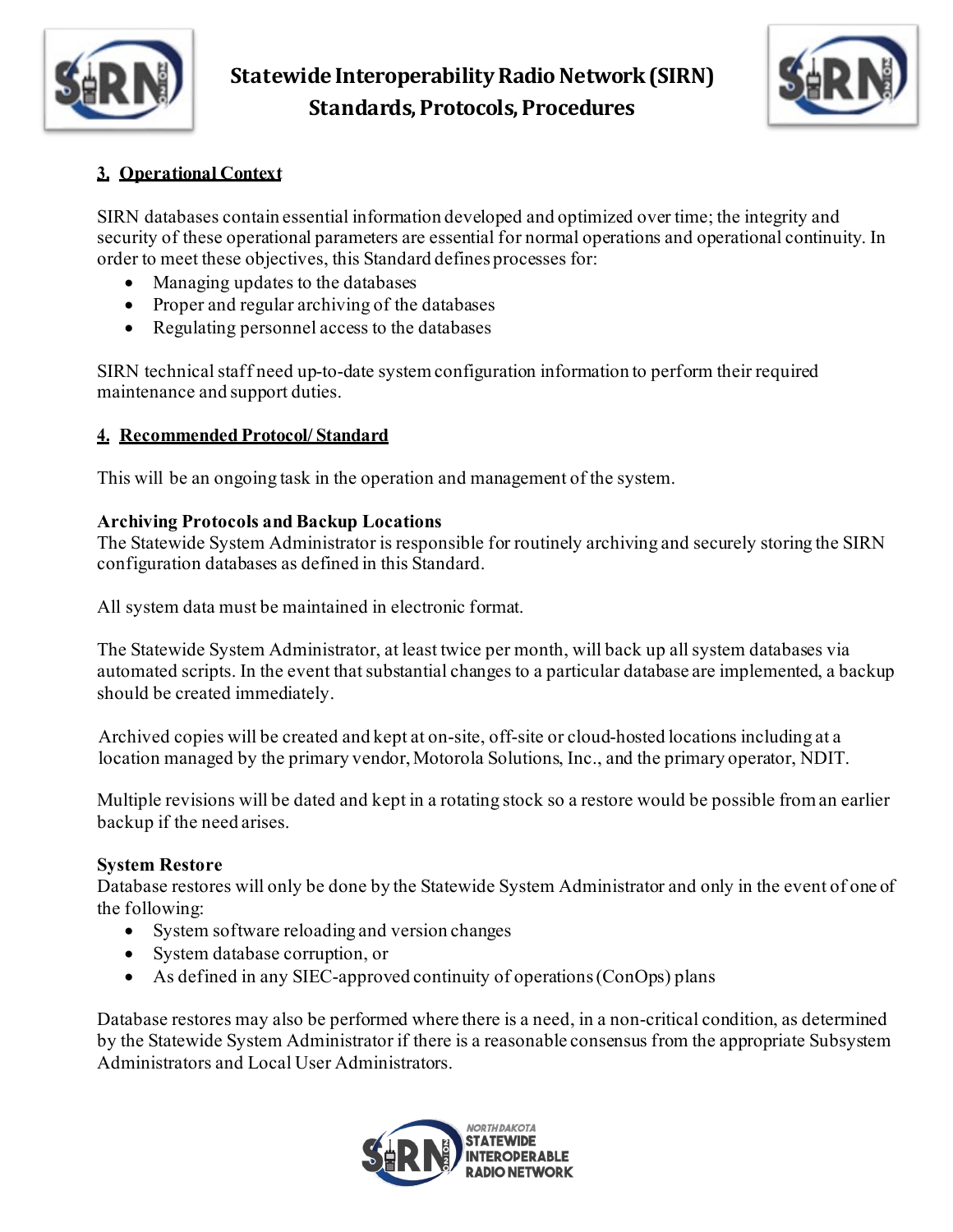



#### **3. Operational Context**

SIRN databases contain essential information developed and optimized over time; the integrity and security of these operational parameters are essential for normal operations and operational continuity. In order to meet these objectives, this Standard defines processes for:

- Managing updates to the databases
- Proper and regular archiving of the databases
- Regulating personnel access to the databases

SIRN technical staff need up-to-date system configuration information to perform their required maintenance and support duties.

#### **4. Recommended Protocol/ Standard**

This will be an ongoing task in the operation and management of the system.

#### **Archiving Protocols and Backup Locations**

The Statewide System Administrator is responsible for routinely archiving and securely storing the SIRN configuration databases as defined in this Standard.

All system data must be maintained in electronic format.

The Statewide System Administrator, at least twice per month, will back up all system databases via automated scripts. In the event that substantial changes to a particular database are implemented, a backup should be created immediately.

Archived copies will be created and kept at on-site, off-site or cloud-hosted locations including at a location managed by the primary vendor, Motorola Solutions, Inc., and the primary operator, NDIT.

Multiple revisions will be dated and kept in a rotating stock so a restore would be possible from an earlier backup if the need arises.

#### **System Restore**

Database restores will only be done by the Statewide System Administrator and only in the event of one of the following:

- System software reloading and version changes
- System database corruption, or
- As defined in any SIEC-approved continuity of operations (ConOps) plans

Database restores may also be performed where there is a need, in a non-critical condition, as determined by the Statewide System Administrator if there is a reasonable consensus from the appropriate Subsystem Administrators and Local User Administrators.

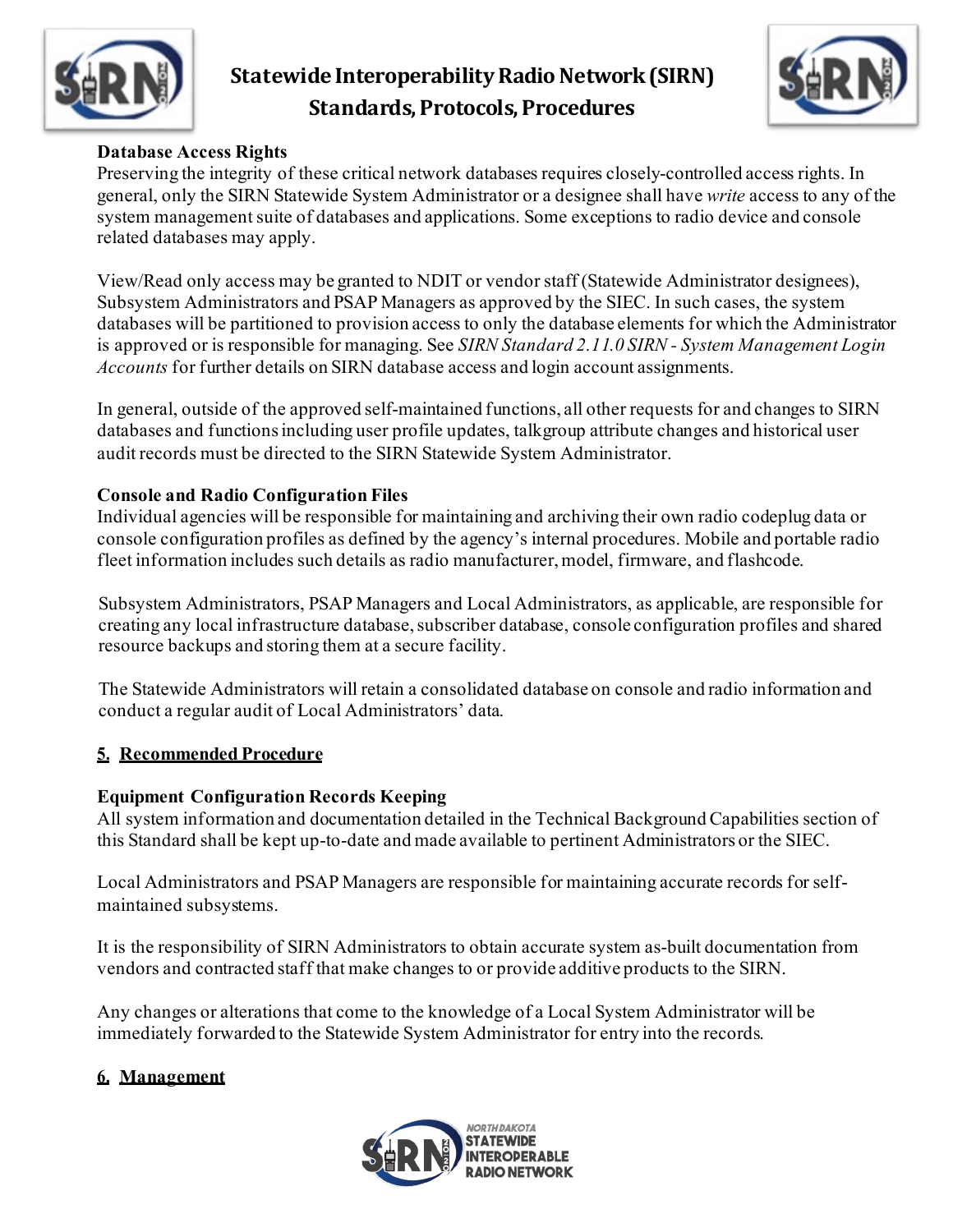



### **Database Access Rights**

Preserving the integrity of these critical network databases requires closely-controlled access rights. In general, only the SIRN Statewide System Administrator or a designee shall have *write* access to any of the system management suite of databases and applications. Some exceptions to radio device and console related databases may apply.

View/Read only access may be granted to NDIT or vendor staff (Statewide Administrator designees), Subsystem Administrators and PSAP Managers as approved by the SIEC. In such cases, the system databases will be partitioned to provision access to only the database elements for which the Administrator is approved or is responsible for managing. See *SIRN Standard 2.11.0 SIRN - System Management Login Accounts* for further details on SIRN database access and login account assignments.

In general, outside of the approved self-maintained functions, all other requests for and changes to SIRN databases and functions including user profile updates, talkgroup attribute changes and historical user audit records must be directed to the SIRN Statewide System Administrator.

#### **Console and Radio Configuration Files**

Individual agencies will be responsible for maintaining and archiving their own radio codeplug data or console configuration profiles as defined by the agency's internal procedures. Mobile and portable radio fleet information includes such details as radio manufacturer, model, firmware, and flashcode.

Subsystem Administrators, PSAP Managers and Local Administrators, as applicable, are responsible for creating any local infrastructure database, subscriber database, console configuration profiles and shared resource backups and storing them at a secure facility.

The Statewide Administrators will retain a consolidated database on console and radio information and conduct a regular audit of Local Administrators' data.

### **5. Recommended Procedure**

#### **Equipment Configuration Records Keeping**

All system information and documentation detailed in the Technical Background Capabilities section of this Standard shall be kept up-to-date and made available to pertinent Administrators or the SIEC.

Local Administrators and PSAP Managers are responsible for maintaining accurate records for selfmaintained subsystems.

It is the responsibility of SIRN Administrators to obtain accurate system as-built documentation from vendors and contracted staff that make changes to or provide additive products to the SIRN.

Any changes or alterations that come to the knowledge of a Local System Administrator will be immediately forwarded to the Statewide System Administrator for entry into the records.

### **6. Management**